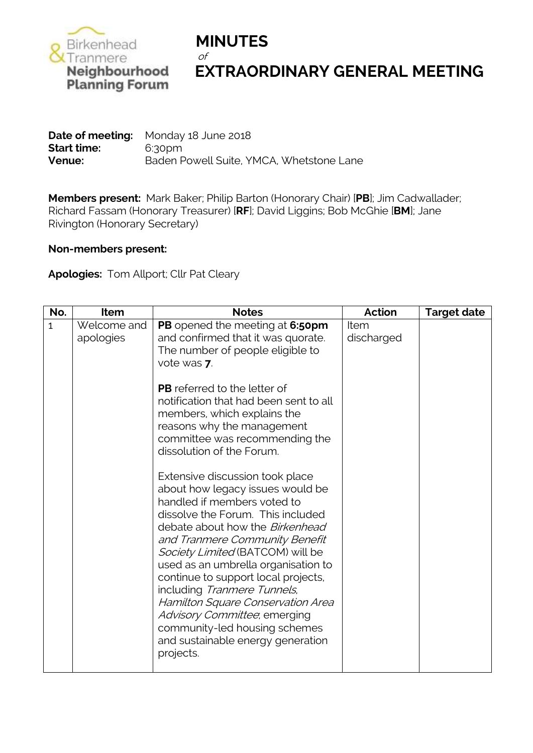

## **Neighbourhood EXTRAORDINARY GENERAL MEETING**<br>Planning Forum

**Date of meeting:** Monday 18 June 2018 **Start time:** 6:30pm **Venue:** Baden Powell Suite, YMCA, Whetstone Lane

**Members present:** Mark Baker; Philip Barton (Honorary Chair) [**PB**]; Jim Cadwallader; Richard Fassam (Honorary Treasurer) [**RF**]; David Liggins; Bob McGhie [**BM**]; Jane Rivington (Honorary Secretary)

## **Non-members present:**

**Apologies:** Tom Allport; Cllr Pat Cleary

| No.          | Item                     | <b>Notes</b>                                                                                                                                                                                                                                                                                                                                                                                                                                                                                                                 | <b>Action</b>      | <b>Target date</b> |
|--------------|--------------------------|------------------------------------------------------------------------------------------------------------------------------------------------------------------------------------------------------------------------------------------------------------------------------------------------------------------------------------------------------------------------------------------------------------------------------------------------------------------------------------------------------------------------------|--------------------|--------------------|
| $\mathbf{1}$ | Welcome and<br>apologies | PB opened the meeting at 6:50pm<br>and confirmed that it was quorate.<br>The number of people eligible to<br>vote was 7.                                                                                                                                                                                                                                                                                                                                                                                                     | Item<br>discharged |                    |
|              |                          | <b>PB</b> referred to the letter of<br>notification that had been sent to all<br>members, which explains the<br>reasons why the management<br>committee was recommending the<br>dissolution of the Forum.                                                                                                                                                                                                                                                                                                                    |                    |                    |
|              |                          | Extensive discussion took place<br>about how legacy issues would be<br>handled if members voted to<br>dissolve the Forum. This included<br>debate about how the <i>Birkenhead</i><br>and Tranmere Community Benefit<br>Society Limited (BATCOM) will be<br>used as an umbrella organisation to<br>continue to support local projects,<br>including Tranmere Tunnels,<br>Hamilton Square Conservation Area<br>Advisory Committee, emerging<br>community-led housing schemes<br>and sustainable energy generation<br>projects. |                    |                    |